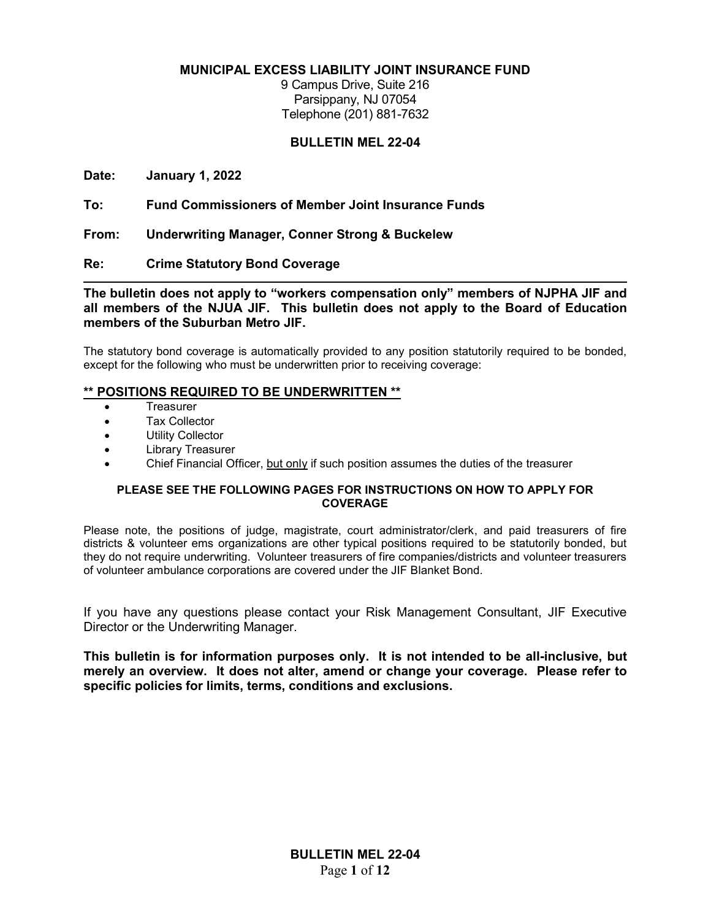**MUNICIPAL EXCESS LIABILITY JOINT INSURANCE FUND**

9 Campus Drive, Suite 216 Parsippany, NJ 07054 Telephone (201) 881-7632

#### **BULLETIN MEL 22-04**

**Date: January 1, 2022**

**To: Fund Commissioners of Member Joint Insurance Funds**

**From: Underwriting Manager, Conner Strong & Buckelew** 

**Re: Crime Statutory Bond Coverage**

**The bulletin does not apply to "workers compensation only" members of NJPHA JIF and all members of the NJUA JIF. This bulletin does not apply to the Board of Education members of the Suburban Metro JIF.**

The statutory bond coverage is automatically provided to any position statutorily required to be bonded, except for the following who must be underwritten prior to receiving coverage:

#### **\*\* POSITIONS REQUIRED TO BE UNDERWRITTEN \*\***

- **Treasurer**
- Tax Collector
- Utility Collector
- Library Treasurer
- Chief Financial Officer, but only if such position assumes the duties of the treasurer

#### **PLEASE SEE THE FOLLOWING PAGES FOR INSTRUCTIONS ON HOW TO APPLY FOR COVERAGE**

Please note, the positions of judge, magistrate, court administrator/clerk, and paid treasurers of fire districts & volunteer ems organizations are other typical positions required to be statutorily bonded, but they do not require underwriting. Volunteer treasurers of fire companies/districts and volunteer treasurers of volunteer ambulance corporations are covered under the JIF Blanket Bond.

If you have any questions please contact your Risk Management Consultant, JIF Executive Director or the Underwriting Manager.

**This bulletin is for information purposes only. It is not intended to be all-inclusive, but merely an overview. It does not alter, amend or change your coverage. Please refer to specific policies for limits, terms, conditions and exclusions.**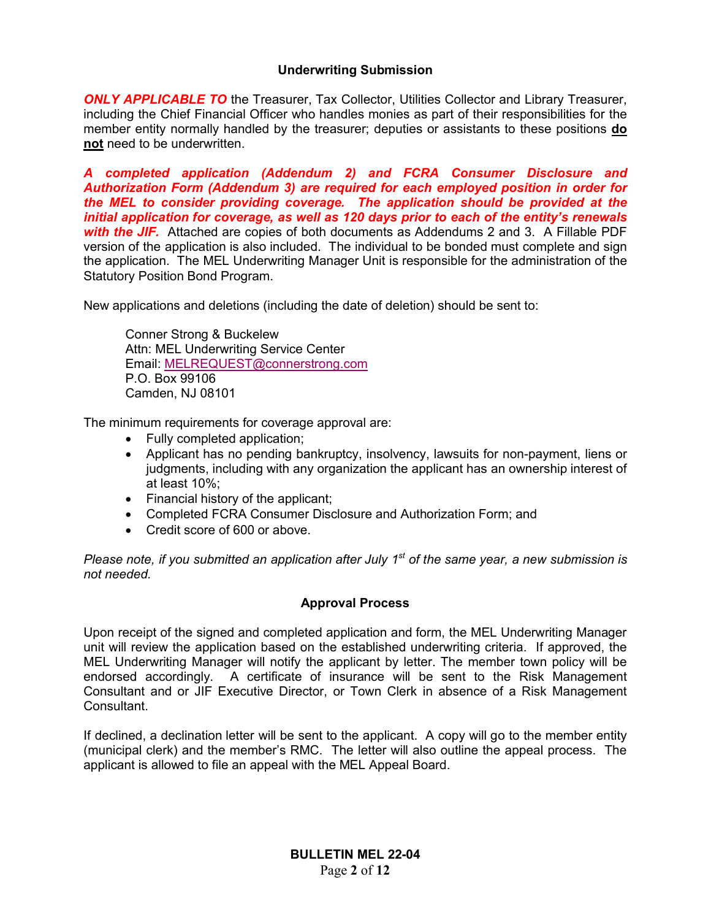#### **Underwriting Submission**

**ONLY APPLICABLE TO** the Treasurer, Tax Collector, Utilities Collector and Library Treasurer, including the Chief Financial Officer who handles monies as part of their responsibilities for the member entity normally handled by the treasurer; deputies or assistants to these positions **do not** need to be underwritten.

*A completed application (Addendum 2) and FCRA Consumer Disclosure and Authorization Form (Addendum 3) are required for each employed position in order for the MEL to consider providing coverage. The application should be provided at the initial application for coverage, as well as 120 days prior to each of the entity's renewals with the JIF.* Attached are copies of both documents as Addendums 2 and 3. A Fillable PDF version of the application is also included. The individual to be bonded must complete and sign the application. The MEL Underwriting Manager Unit is responsible for the administration of the Statutory Position Bond Program.

New applications and deletions (including the date of deletion) should be sent to:

Conner Strong & Buckelew Attn: MEL Underwriting Service Center Email: MELREQUEST@connerstrong.com P.O. Box 99106 Camden, NJ 08101

The minimum requirements for coverage approval are:

- Fully completed application;
- Applicant has no pending bankruptcy, insolvency, lawsuits for non-payment, liens or judgments, including with any organization the applicant has an ownership interest of at least 10%;
- Financial history of the applicant;
- Completed FCRA Consumer Disclosure and Authorization Form; and
- Credit score of 600 or above.

*Please note, if you submitted an application after July 1st of the same year, a new submission is not needed.*

#### **Approval Process**

Upon receipt of the signed and completed application and form, the MEL Underwriting Manager unit will review the application based on the established underwriting criteria. If approved, the MEL Underwriting Manager will notify the applicant by letter. The member town policy will be endorsed accordingly. A certificate of insurance will be sent to the Risk Management Consultant and or JIF Executive Director, or Town Clerk in absence of a Risk Management Consultant.

If declined, a declination letter will be sent to the applicant. A copy will go to the member entity (municipal clerk) and the member's RMC. The letter will also outline the appeal process. The applicant is allowed to file an appeal with the MEL Appeal Board.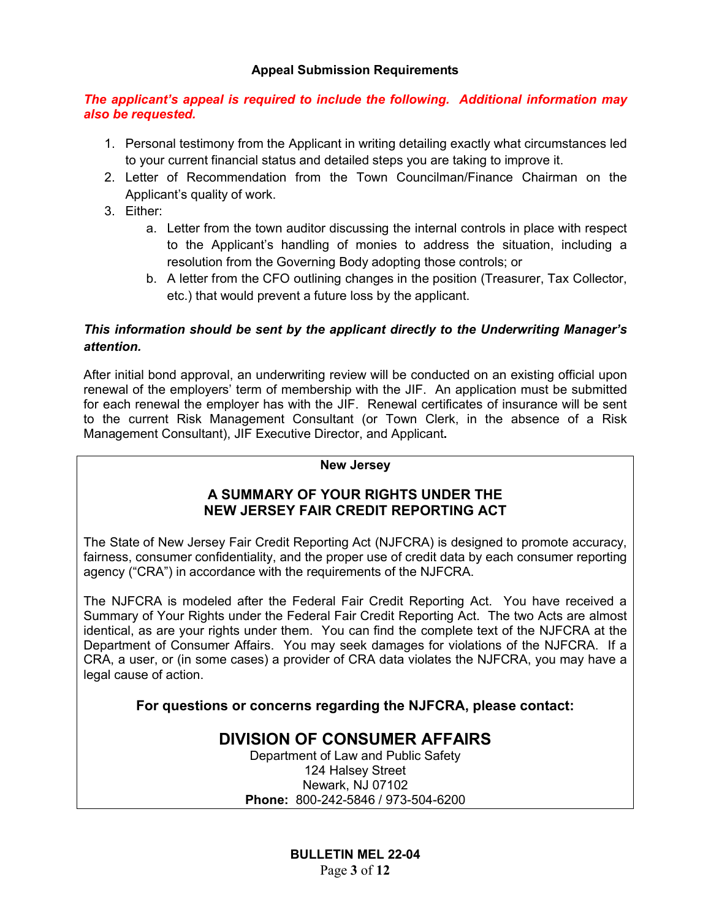#### **Appeal Submission Requirements**

#### *The applicant's appeal is required to include the following. Additional information may also be requested.*

- 1. Personal testimony from the Applicant in writing detailing exactly what circumstances led to your current financial status and detailed steps you are taking to improve it.
- 2. Letter of Recommendation from the Town Councilman/Finance Chairman on the Applicant's quality of work.
- 3. Either:
	- a. Letter from the town auditor discussing the internal controls in place with respect to the Applicant's handling of monies to address the situation, including a resolution from the Governing Body adopting those controls; or
	- b. A letter from the CFO outlining changes in the position (Treasurer, Tax Collector, etc.) that would prevent a future loss by the applicant.

### *This information should be sent by the applicant directly to the Underwriting Manager's attention.*

After initial bond approval, an underwriting review will be conducted on an existing official upon renewal of the employers' term of membership with the JIF. An application must be submitted for each renewal the employer has with the JIF. Renewal certificates of insurance will be sent to the current Risk Management Consultant (or Town Clerk, in the absence of a Risk Management Consultant), JIF Executive Director, and Applicant**.** 

#### **New Jersey**

### **A SUMMARY OF YOUR RIGHTS UNDER THE NEW JERSEY FAIR CREDIT REPORTING ACT**

The State of New Jersey Fair Credit Reporting Act (NJFCRA) is designed to promote accuracy, fairness, consumer confidentiality, and the proper use of credit data by each consumer reporting agency ("CRA") in accordance with the requirements of the NJFCRA.

The NJFCRA is modeled after the Federal Fair Credit Reporting Act. You have received a Summary of Your Rights under the Federal Fair Credit Reporting Act. The two Acts are almost identical, as are your rights under them. You can find the complete text of the NJFCRA at the Department of Consumer Affairs. You may seek damages for violations of the NJFCRA. If a CRA, a user, or (in some cases) a provider of CRA data violates the NJFCRA, you may have a legal cause of action.

**For questions or concerns regarding the NJFCRA, please contact:**

## **DIVISION OF CONSUMER AFFAIRS**

Department of Law and Public Safety 124 Halsey Street Newark, NJ 07102 **Phone:** 800-242-5846 / 973-504-6200

> **BULLETIN MEL 22-04** Page **3** of **12**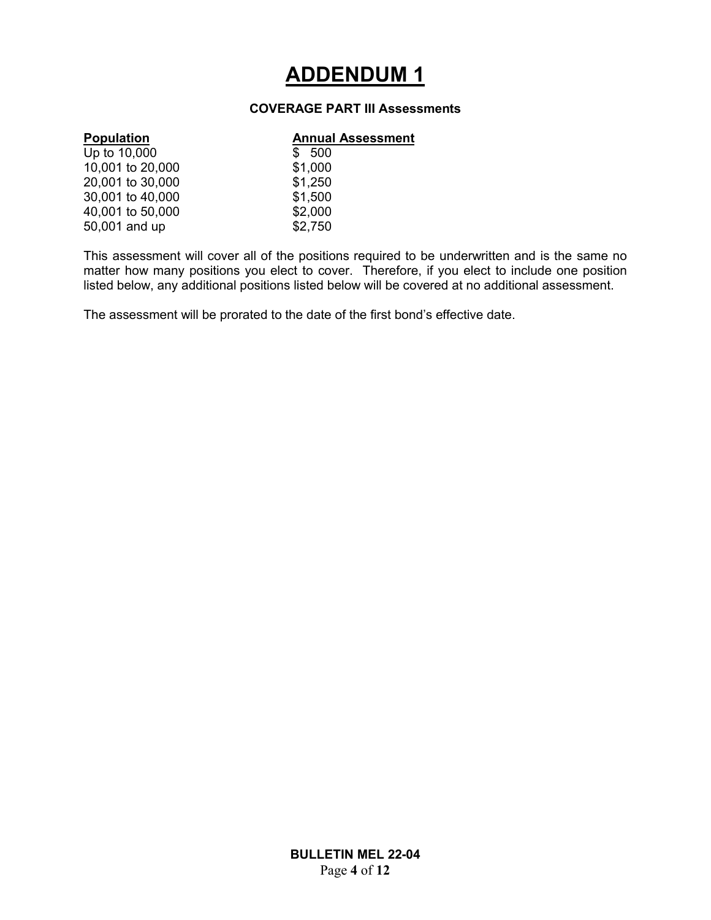## **ADDENDUM 1**

#### **COVERAGE PART III Assessments**

#### **Population Annual Assessment**

| Up to 10,000     | \$500   |
|------------------|---------|
| 10,001 to 20,000 | \$1,000 |
| 20,001 to 30,000 | \$1,250 |
| 30,001 to 40,000 | \$1,500 |
| 40,001 to 50,000 | \$2,000 |
| 50,001 and up    | \$2,750 |

 $$500$  $$1,250$  $$1,500$ 

This assessment will cover all of the positions required to be underwritten and is the same no matter how many positions you elect to cover. Therefore, if you elect to include one position listed below, any additional positions listed below will be covered at no additional assessment.

The assessment will be prorated to the date of the first bond's effective date.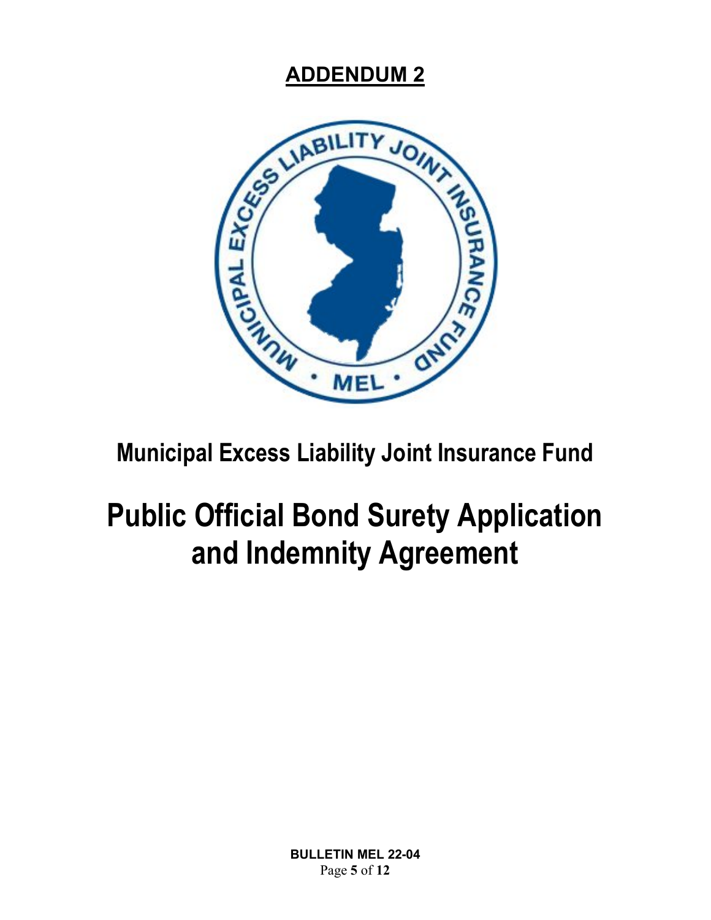

## **Municipal Excess Liability Joint Insurance Fund**

# **Public Official Bond Surety Application and Indemnity Agreement**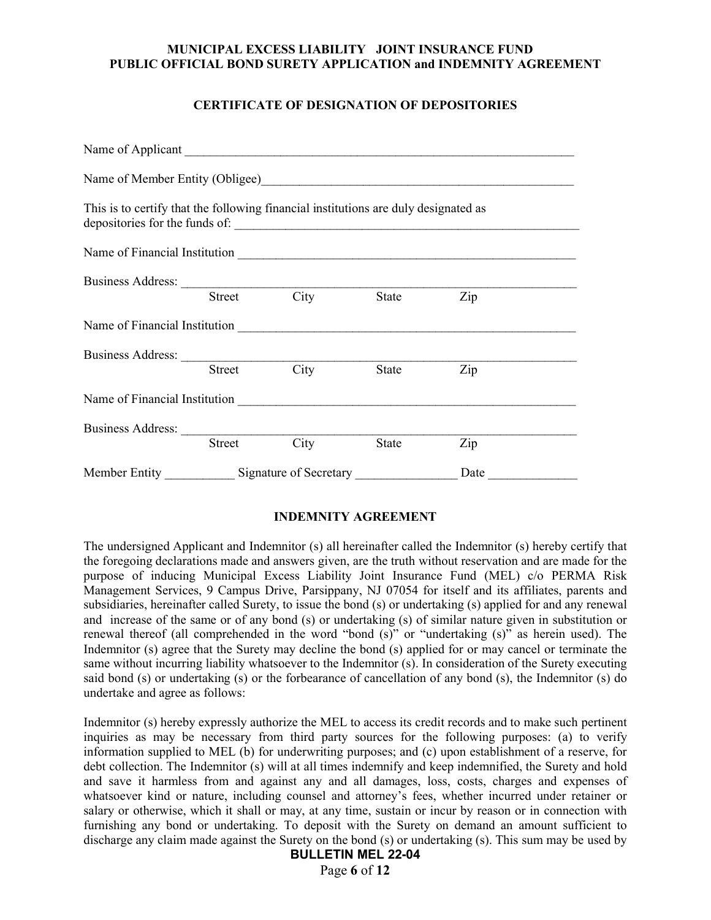#### **CERTIFICATE OF DESIGNATION OF DEPOSITORIES**

| This is to certify that the following financial institutions are duly designated as |                                                     |      |       |      |  |
|-------------------------------------------------------------------------------------|-----------------------------------------------------|------|-------|------|--|
|                                                                                     |                                                     |      |       |      |  |
|                                                                                     |                                                     |      |       |      |  |
|                                                                                     | Street                                              | City | State | Zip  |  |
|                                                                                     |                                                     |      |       |      |  |
|                                                                                     |                                                     |      |       |      |  |
|                                                                                     | Street                                              | City | State | Zip  |  |
|                                                                                     |                                                     |      |       |      |  |
|                                                                                     |                                                     |      |       |      |  |
|                                                                                     | Street                                              | City | State | Zip  |  |
|                                                                                     | Member Entity ______________ Signature of Secretary |      |       | Date |  |

#### **INDEMNITY AGREEMENT**

The undersigned Applicant and Indemnitor (s) all hereinafter called the Indemnitor (s) hereby certify that the foregoing declarations made and answers given, are the truth without reservation and are made for the purpose of inducing Municipal Excess Liability Joint Insurance Fund (MEL) c/o PERMA Risk Management Services, 9 Campus Drive, Parsippany, NJ 07054 for itself and its affiliates, parents and subsidiaries, hereinafter called Surety, to issue the bond (s) or undertaking (s) applied for and any renewal and increase of the same or of any bond (s) or undertaking (s) of similar nature given in substitution or renewal thereof (all comprehended in the word "bond (s)" or "undertaking (s)" as herein used). The Indemnitor (s) agree that the Surety may decline the bond (s) applied for or may cancel or terminate the same without incurring liability whatsoever to the Indemnitor (s). In consideration of the Surety executing said bond (s) or undertaking (s) or the forbearance of cancellation of any bond (s), the Indemnitor (s) do undertake and agree as follows:

Indemnitor (s) hereby expressly authorize the MEL to access its credit records and to make such pertinent inquiries as may be necessary from third party sources for the following purposes: (a) to verify information supplied to MEL (b) for underwriting purposes; and (c) upon establishment of a reserve, for debt collection. The Indemnitor (s) will at all times indemnify and keep indemnified, the Surety and hold and save it harmless from and against any and all damages, loss, costs, charges and expenses of whatsoever kind or nature, including counsel and attorney's fees, whether incurred under retainer or salary or otherwise, which it shall or may, at any time, sustain or incur by reason or in connection with furnishing any bond or undertaking. To deposit with the Surety on demand an amount sufficient to discharge any claim made against the Surety on the bond (s) or undertaking (s). This sum may be used by

#### **BULLETIN MEL 22-04**

Page **6** of **12**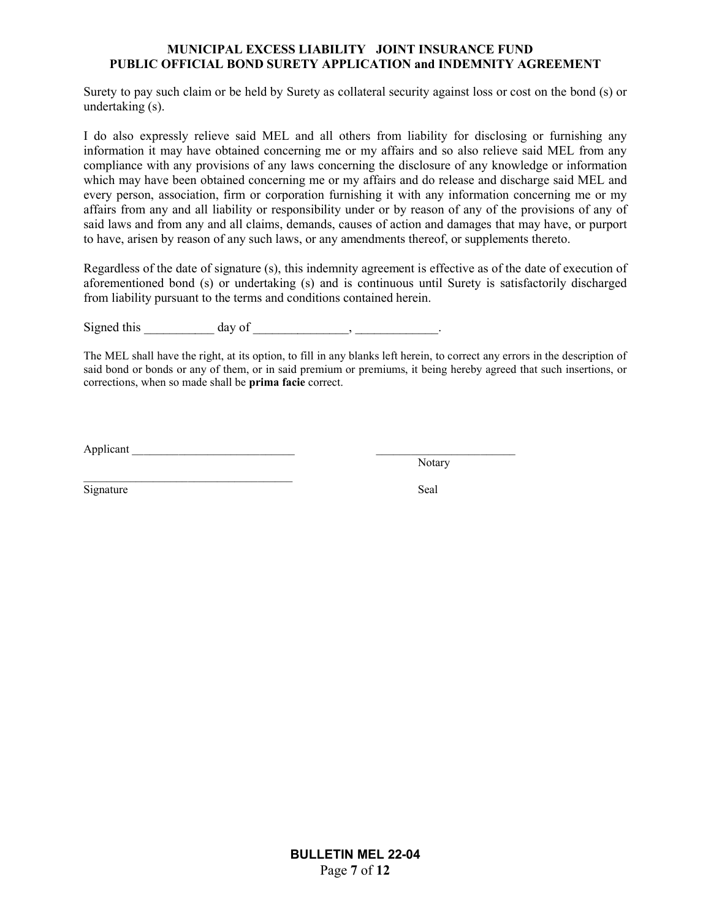Surety to pay such claim or be held by Surety as collateral security against loss or cost on the bond (s) or undertaking (s).

I do also expressly relieve said MEL and all others from liability for disclosing or furnishing any information it may have obtained concerning me or my affairs and so also relieve said MEL from any compliance with any provisions of any laws concerning the disclosure of any knowledge or information which may have been obtained concerning me or my affairs and do release and discharge said MEL and every person, association, firm or corporation furnishing it with any information concerning me or my affairs from any and all liability or responsibility under or by reason of any of the provisions of any of said laws and from any and all claims, demands, causes of action and damages that may have, or purport to have, arisen by reason of any such laws, or any amendments thereof, or supplements thereto.

Regardless of the date of signature (s), this indemnity agreement is effective as of the date of execution of aforementioned bond (s) or undertaking (s) and is continuous until Surety is satisfactorily discharged from liability pursuant to the terms and conditions contained herein.

Signed this  $\qquad \qquad \text{day of} \qquad \qquad \text{day}$ 

The MEL shall have the right, at its option, to fill in any blanks left herein, to correct any errors in the description of said bond or bonds or any of them, or in said premium or premiums, it being hereby agreed that such insertions, or corrections, when so made shall be **prima facie** correct.

Applicant

Notary

Signature Seal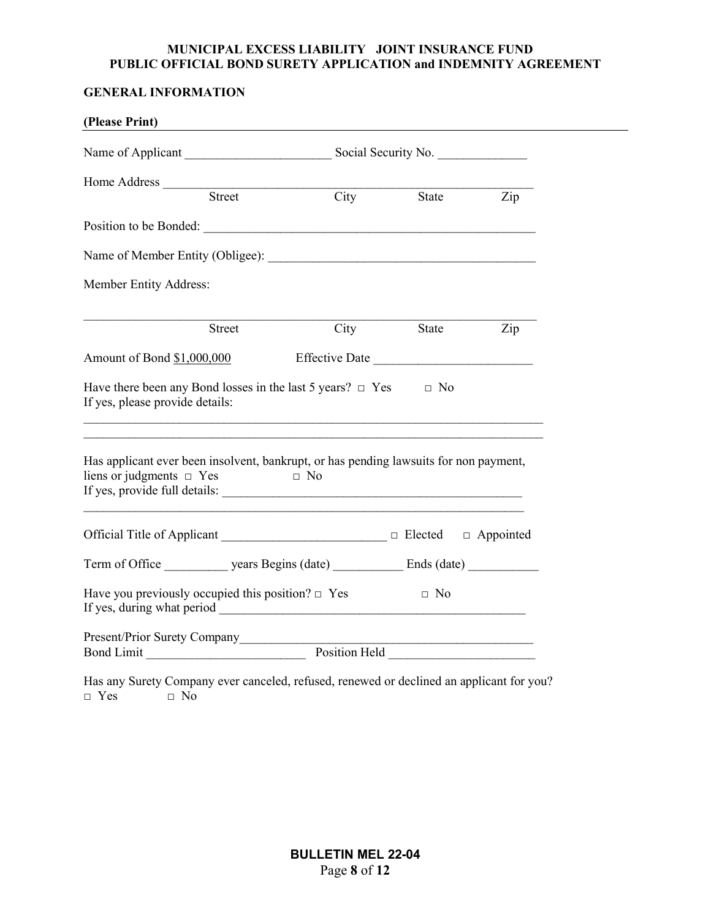### **GENERAL INFORMATION**

| (Please Print)                                         |        |                                                                                                                                     |          |                |  |
|--------------------------------------------------------|--------|-------------------------------------------------------------------------------------------------------------------------------------|----------|----------------|--|
|                                                        |        |                                                                                                                                     |          |                |  |
| Home Address <u>Street</u>                             |        |                                                                                                                                     |          |                |  |
|                                                        |        | City                                                                                                                                |          | State Zip      |  |
|                                                        |        |                                                                                                                                     |          |                |  |
|                                                        |        |                                                                                                                                     |          |                |  |
| Member Entity Address:                                 |        |                                                                                                                                     |          |                |  |
|                                                        | Street | $\overline{City}$                                                                                                                   | State    | $\overline{z}$ |  |
| Amount of Bond \$1,000,000                             |        | Effective Date                                                                                                                      |          |                |  |
| If yes, please provide details:                        |        | Have there been any Bond losses in the last 5 years? $\Box$ Yes $\Box$ No                                                           |          |                |  |
| liens or judgments $\Box$ Yes                          |        | Has applicant ever been insolvent, bankrupt, or has pending lawsuits for non payment,<br>$\Box$ No<br>If yes, provide full details: |          |                |  |
|                                                        |        |                                                                                                                                     |          |                |  |
|                                                        |        |                                                                                                                                     |          |                |  |
| Have you previously occupied this position? $\Box$ Yes |        |                                                                                                                                     | and a No |                |  |
|                                                        |        |                                                                                                                                     |          |                |  |
|                                                        |        | Present/Prior Surety Company<br>Bond Limit Position Held Position Held                                                              |          |                |  |
|                                                        |        | Has any Surety Company ever canceled, refused, renewed or declined an applicant for you?                                            |          |                |  |

 $\Box$  Yes  $\Box$  No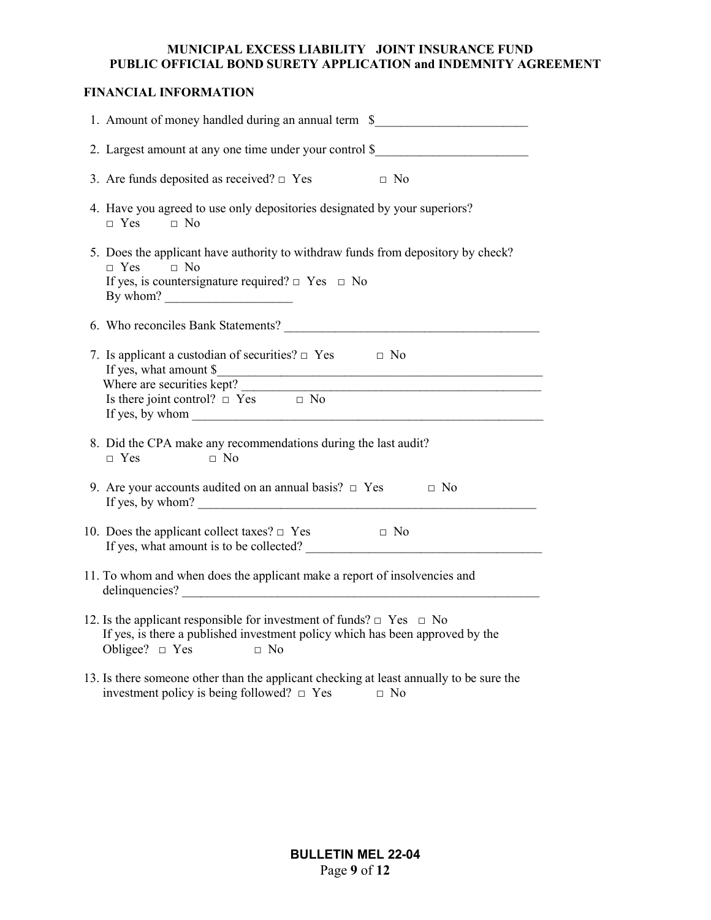#### **FINANCIAL INFORMATION**

| 1. Amount of money handled during an annual term \$                                                                                                                                                                                                                                                       |
|-----------------------------------------------------------------------------------------------------------------------------------------------------------------------------------------------------------------------------------------------------------------------------------------------------------|
| 2. Largest amount at any one time under your control \$                                                                                                                                                                                                                                                   |
| 3. Are funds deposited as received? $\Box$ Yes $\Box$ No                                                                                                                                                                                                                                                  |
| 4. Have you agreed to use only depositories designated by your superiors?<br>$\Box$ Yes $\Box$ No                                                                                                                                                                                                         |
| 5. Does the applicant have authority to withdraw funds from depository by check?<br>$\Box$ Yes $\Box$ No<br>If yes, is countersignature required? $\Box$ Yes $\Box$ No                                                                                                                                    |
|                                                                                                                                                                                                                                                                                                           |
| 7. Is applicant a custodian of securities? $\Box$ Yes $\Box$ No<br>If yes, what amount \$<br>Where are securities kept?<br>Is there joint control? $\Box$ Yes $\Box$ No<br>If yes, by whom $\_\_$                                                                                                         |
| 8. Did the CPA make any recommendations during the last audit?<br>$\Box$ Yes<br>$\Box$ No                                                                                                                                                                                                                 |
| 9. Are your accounts audited on an annual basis? $\Box$ Yes $\Box$ No<br>If yes, by whom? $\frac{1}{2}$ is the set of the set of the set of the set of the set of the set of the set of the set of the set of the set of the set of the set of the set of the set of the set of the set of the set of the |
| 10. Does the applicant collect taxes? $\Box$ Yes $\Box$ No<br>If yes, what amount is to be collected?                                                                                                                                                                                                     |
| 11. To whom and when does the applicant make a report of insolvencies and                                                                                                                                                                                                                                 |
| 12. Is the applicant responsible for investment of funds? $\Box$ Yes $\Box$ No<br>If yes, is there a published investment policy which has been approved by the<br>Obligee? $\Box$ Yes $\Box$ No                                                                                                          |
| 13. Is there someone other than the applicant checking at least annually to be sure the<br>investment policy is being followed? $\Box$ Yes<br>$\Box$ No                                                                                                                                                   |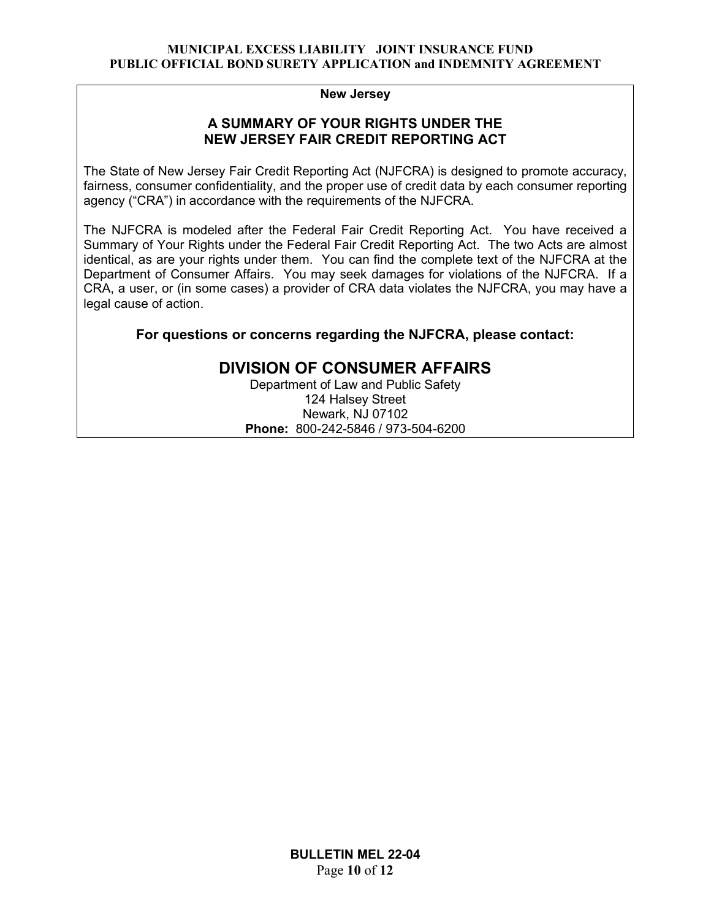#### **New Jersey**

#### **A SUMMARY OF YOUR RIGHTS UNDER THE NEW JERSEY FAIR CREDIT REPORTING ACT**

The State of New Jersey Fair Credit Reporting Act (NJFCRA) is designed to promote accuracy, fairness, consumer confidentiality, and the proper use of credit data by each consumer reporting agency ("CRA") in accordance with the requirements of the NJFCRA.

The NJFCRA is modeled after the Federal Fair Credit Reporting Act. You have received a Summary of Your Rights under the Federal Fair Credit Reporting Act. The two Acts are almost identical, as are your rights under them. You can find the complete text of the NJFCRA at the Department of Consumer Affairs. You may seek damages for violations of the NJFCRA. If a CRA, a user, or (in some cases) a provider of CRA data violates the NJFCRA, you may have a legal cause of action.

**For questions or concerns regarding the NJFCRA, please contact:**

### **DIVISION OF CONSUMER AFFAIRS**

Department of Law and Public Safety 124 Halsey Street Newark, NJ 07102 **Phone:** 800-242-5846 / 973-504-6200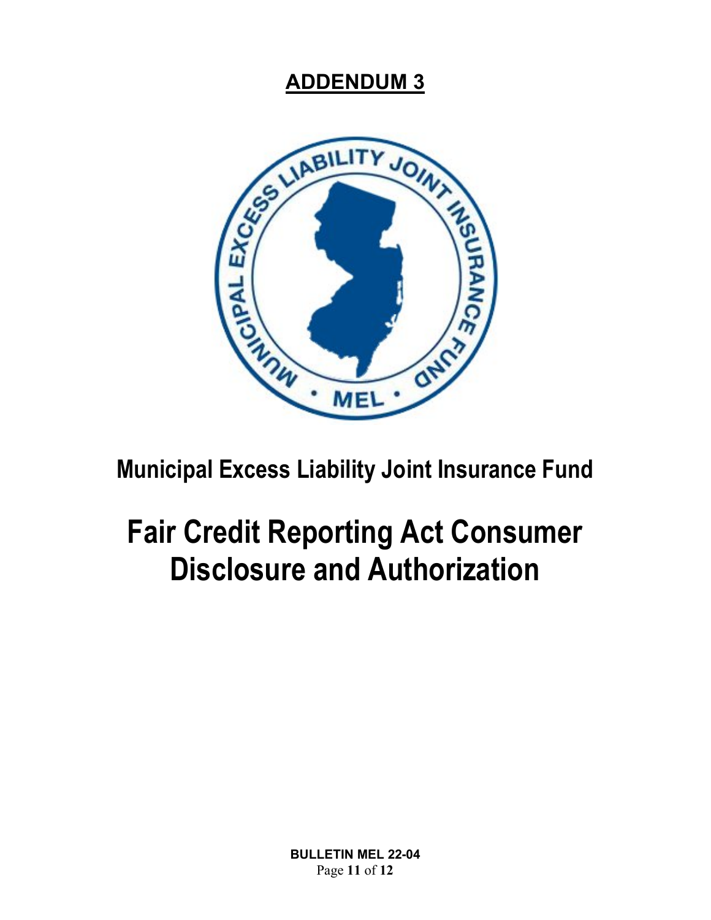

**Municipal Excess Liability Joint Insurance Fund**

# **Fair Credit Reporting Act Consumer Disclosure and Authorization**